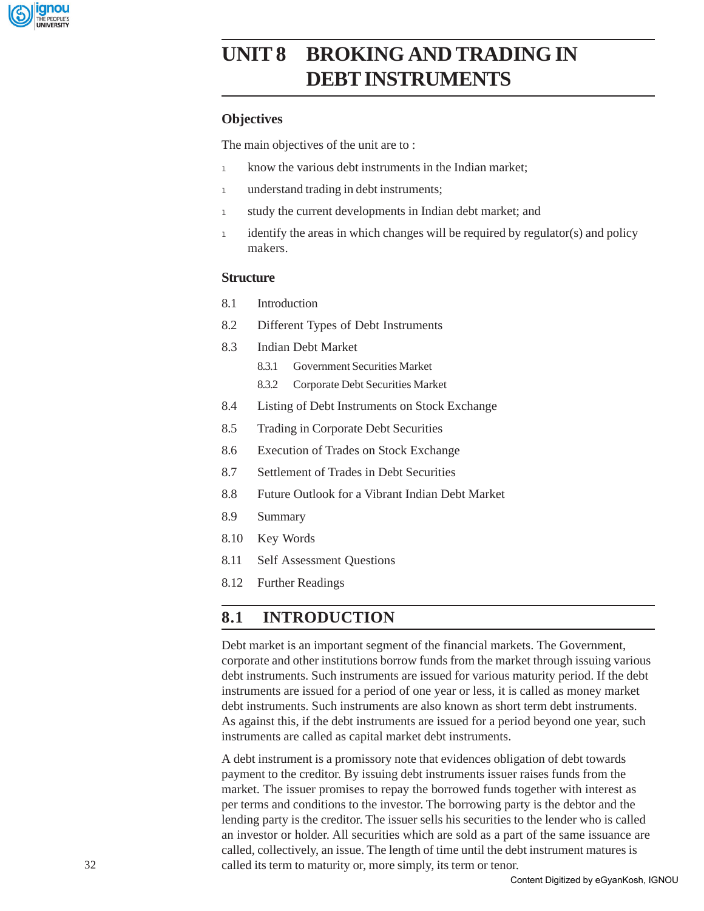

# **UNIT 8 BROKING AND TRADING IN DEBT INSTRUMENTS**

## **Objectives**

The main objectives of the unit are to :

- 1 know the various debt instruments in the Indian market;
- 1 understand trading in debt instruments;
- 1 study the current developments in Indian debt market; and
- 1 identify the areas in which changes will be required by regulator(s) and policy makers.

### **Structure**

- 8.1 Introduction
- 8.2 Different Types of Debt Instruments
- 8.3 Indian Debt Market
	- 8.3.1 Government Securities Market
	- 8.3.2 Corporate Debt Securities Market
- 8.4 Listing of Debt Instruments on Stock Exchange
- 8.5 Trading in Corporate Debt Securities
- 8.6 Execution of Trades on Stock Exchange
- 8.7 Settlement of Trades in Debt Securities
- 8.8 Future Outlook for a Vibrant Indian Debt Market
- 8.9 Summary
- 8.10 Key Words
- 8.11 Self Assessment Questions
- 8.12 Further Readings

# **8.1 INTRODUCTION**

Debt market is an important segment of the financial markets. The Government, corporate and other institutions borrow funds from the market through issuing various debt instruments. Such instruments are issued for various maturity period. If the debt instruments are issued for a period of one year or less, it is called as money market debt instruments. Such instruments are also known as short term debt instruments. As against this, if the debt instruments are issued for a period beyond one year, such instruments are called as capital market debt instruments.

A debt instrument is a promissory note that evidences obligation of debt towards payment to the creditor. By issuing debt instruments issuer raises funds from the market. The issuer promises to repay the borrowed funds together with interest as per terms and conditions to the investor. The borrowing party is the debtor and the lending party is the creditor. The issuer sells his securities to the lender who is called an investor or holder. All securities which are sold as a part of the same issuance are called, collectively, an issue. The length of time until the debt instrument matures is called its term to maturity or, more simply, its term or tenor.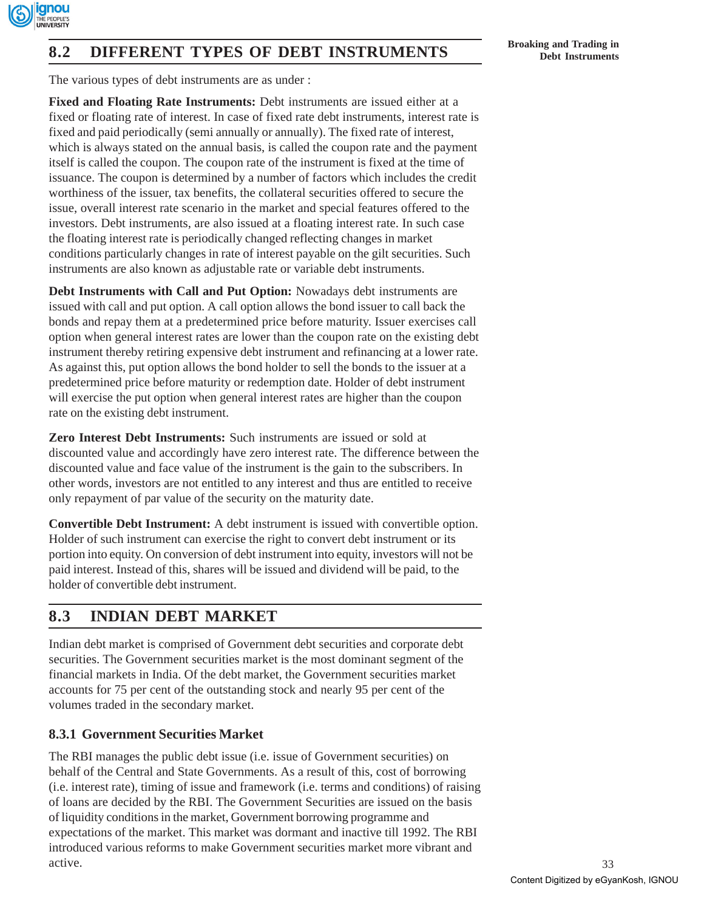

# **Broaking and Trading in Broaking and Trading in Broaking and Trading in Broaking and Trading in Debt Instruments**

The various types of debt instruments are as under :

**Fixed and Floating Rate Instruments:** Debt instruments are issued either at a fixed or floating rate of interest. In case of fixed rate debt instruments, interest rate is fixed and paid periodically (semi annually or annually). The fixed rate of interest, which is always stated on the annual basis, is called the coupon rate and the payment itself is called the coupon. The coupon rate of the instrument is fixed at the time of issuance. The coupon is determined by a number of factors which includes the credit worthiness of the issuer, tax benefits, the collateral securities offered to secure the issue, overall interest rate scenario in the market and special features offered to the investors. Debt instruments, are also issued at a floating interest rate. In such case the floating interest rate is periodically changed reflecting changes in market conditions particularly changes in rate of interest payable on the gilt securities. Such instruments are also known as adjustable rate or variable debt instruments.

**Debt Instruments with Call and Put Option:** Nowadays debt instruments are issued with call and put option. A call option allows the bond issuer to call back the bonds and repay them at a predetermined price before maturity. Issuer exercises call option when general interest rates are lower than the coupon rate on the existing debt instrument thereby retiring expensive debt instrument and refinancing at a lower rate. As against this, put option allows the bond holder to sell the bonds to the issuer at a predetermined price before maturity or redemption date. Holder of debt instrument will exercise the put option when general interest rates are higher than the coupon rate on the existing debt instrument.

**Zero Interest Debt Instruments:** Such instruments are issued or sold at discounted value and accordingly have zero interest rate. The difference between the discounted value and face value of the instrument is the gain to the subscribers. In other words, investors are not entitled to any interest and thus are entitled to receive only repayment of par value of the security on the maturity date.

**Convertible Debt Instrument:** A debt instrument is issued with convertible option. Holder of such instrument can exercise the right to convert debt instrument or its portion into equity. On conversion of debt instrument into equity, investors will not be paid interest. Instead of this, shares will be issued and dividend will be paid, to the holder of convertible debt instrument.

# **8.3 INDIAN DEBT MARKET**

Indian debt market is comprised of Government debt securities and corporate debt securities. The Government securities market is the most dominant segment of the financial markets in India. Of the debt market, the Government securities market accounts for 75 per cent of the outstanding stock and nearly 95 per cent of the volumes traded in the secondary market.

# **8.3.1 Government Securities Market**

The RBI manages the public debt issue (i.e. issue of Government securities) on behalf of the Central and State Governments. As a result of this, cost of borrowing (i.e. interest rate), timing of issue and framework (i.e. terms and conditions) of raising of loans are decided by the RBI. The Government Securities are issued on the basis of liquidity conditions in the market, Government borrowing programme and expectations of the market. This market was dormant and inactive till 1992. The RBI introduced various reforms to make Government securities market more vibrant and active.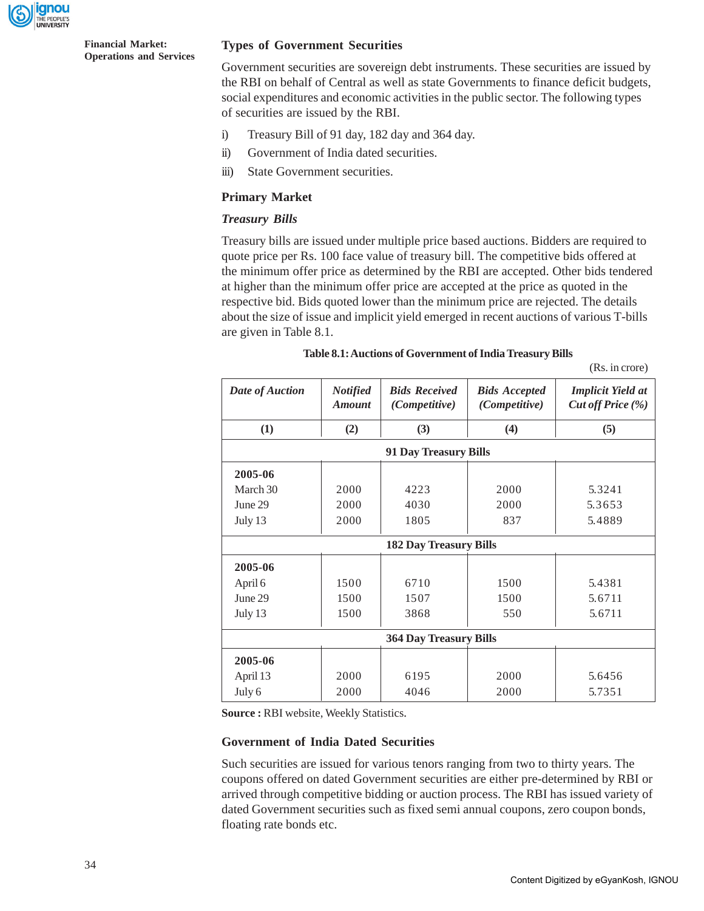

### **Types of Government Securities**

Government securities are sovereign debt instruments. These securities are issued by the RBI on behalf of Central as well as state Governments to finance deficit budgets, social expenditures and economic activities in the public sector. The following types of securities are issued by the RBI.

- i) Treasury Bill of 91 day, 182 day and 364 day.
- ii) Government of India dated securities.
- iii) State Government securities.

### **Primary Market**

### *Treasury Bills*

Treasury bills are issued under multiple price based auctions. Bidders are required to quote price per Rs. 100 face value of treasury bill. The competitive bids offered at the minimum offer price as determined by the RBI are accepted. Other bids tendered at higher than the minimum offer price are accepted at the price as quoted in the respective bid. Bids quoted lower than the minimum price are rejected. The details about the size of issue and implicit yield emerged in recent auctions of various T-bills are given in Table 8.1.

|                               |                                  |                                              |                                       | (Rs. in crore)                                |  |  |  |  |
|-------------------------------|----------------------------------|----------------------------------------------|---------------------------------------|-----------------------------------------------|--|--|--|--|
| Date of Auction               | <b>Notified</b><br><b>Amount</b> | <b>Bids Received</b><br><i>(Competitive)</i> | <b>Bids Accepted</b><br>(Competitive) | <b>Implicit Yield at</b><br>Cut off Price (%) |  |  |  |  |
| (1)                           | (2)                              | (3)                                          | (4)                                   | (5)                                           |  |  |  |  |
| <b>91 Day Treasury Bills</b>  |                                  |                                              |                                       |                                               |  |  |  |  |
| 2005-06                       |                                  |                                              |                                       |                                               |  |  |  |  |
| March 30                      | 2000<br>4223                     |                                              | 2000                                  | 5.3241                                        |  |  |  |  |
| June 29                       | 2000                             | 4030                                         | 2000                                  | 5.3653                                        |  |  |  |  |
| July 13                       | 2000                             | 1805                                         | 5.4889                                |                                               |  |  |  |  |
| <b>182 Day Treasury Bills</b> |                                  |                                              |                                       |                                               |  |  |  |  |
| 2005-06                       |                                  |                                              |                                       |                                               |  |  |  |  |
| April 6                       | 1500                             | 6710                                         | 1500                                  | 5.4381                                        |  |  |  |  |
| June 29                       | 1500                             | 1507                                         | 1500                                  | 5.6711                                        |  |  |  |  |
| July 13                       | 1500                             | 3868                                         | 550                                   | 5.6711                                        |  |  |  |  |
| <b>364 Day Treasury Bills</b> |                                  |                                              |                                       |                                               |  |  |  |  |
| 2005-06                       |                                  |                                              |                                       |                                               |  |  |  |  |
| April 13                      | 2000                             | 6195                                         | 2000                                  | 5.6456                                        |  |  |  |  |
| July 6                        | 2000                             | 4046                                         | 2000                                  | 5.7351                                        |  |  |  |  |

**Source :** RBI website, Weekly Statistics.

#### **Government of India Dated Securities**

Such securities are issued for various tenors ranging from two to thirty years. The coupons offered on dated Government securities are either pre-determined by RBI or arrived through competitive bidding or auction process. The RBI has issued variety of dated Government securities such as fixed semi annual coupons, zero coupon bonds, floating rate bonds etc.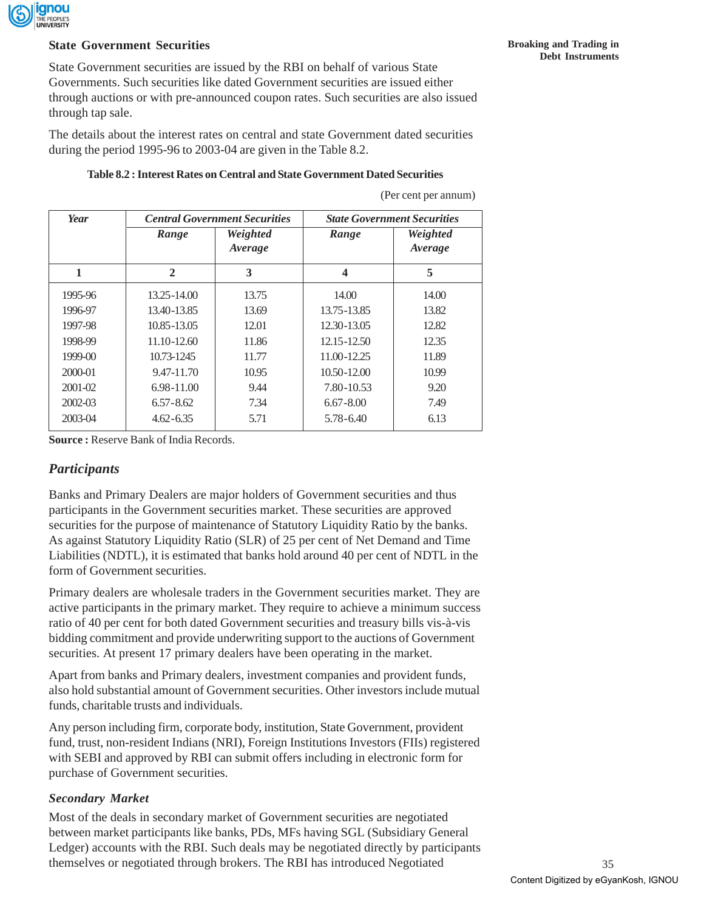

### **State Government Securities**

State Government securities are issued by the RBI on behalf of various State Governments. Such securities like dated Government securities are issued either through auctions or with pre-announced coupon rates. Such securities are also issued through tap sale.

The details about the interest rates on central and state Government dated securities during the period 1995-96 to 2003-04 are given in the Table 8.2.

### **Table 8.2 : Interest Rates on Central and State Government Dated Securities**

(Per cent per annum)

| Year        |                 | <b>Central Government Securities</b> | <b>State Government Securities</b> |                     |  |  |
|-------------|-----------------|--------------------------------------|------------------------------------|---------------------|--|--|
|             | Range           | Weighted<br>Range<br>Average         |                                    | Weighted<br>Average |  |  |
| 1           | $\mathbf{2}$    | 3                                    | $\overline{\mathbf{4}}$            | 5                   |  |  |
| 1995-96     | $13.25 - 14.00$ | 13.75                                | 14.00                              | 14.00               |  |  |
| 1996-97     | 13.40-13.85     | 13.69                                | 13.75-13.85                        | 13.82               |  |  |
| 1997-98     | 10.85-13.05     | 12.01                                | 12.30-13.05                        | 12.82               |  |  |
| 1998-99     | 11.10-12.60     | 11.86                                | 12.15-12.50                        | 12.35               |  |  |
| $1999-00$   | 10.73-1245      | 11.77                                | 11.00-12.25                        | 11.89               |  |  |
| 2000-01     | 9.47-11.70      | 10.95                                | $10.50 - 12.00$                    | 10.99               |  |  |
| $2001 - 02$ | $6.98 - 11.00$  | 9.44                                 | 7.80-10.53                         | 9.20                |  |  |
| $2002 - 03$ | $6.57 - 8.62$   | 7.34                                 | $6.67 - 8.00$                      | 7.49                |  |  |
| 2003-04     | $4.62 - 6.35$   | 5.71                                 | 5.78-6.40                          | 6.13                |  |  |

**Source :** Reserve Bank of India Records.

## *Participants*

Banks and Primary Dealers are major holders of Government securities and thus participants in the Government securities market. These securities are approved securities for the purpose of maintenance of Statutory Liquidity Ratio by the banks. As against Statutory Liquidity Ratio (SLR) of 25 per cent of Net Demand and Time Liabilities (NDTL), it is estimated that banks hold around 40 per cent of NDTL in the form of Government securities.

Primary dealers are wholesale traders in the Government securities market. They are active participants in the primary market. They require to achieve a minimum success ratio of 40 per cent for both dated Government securities and treasury bills vis-à-vis bidding commitment and provide underwriting support to the auctions of Government securities. At present 17 primary dealers have been operating in the market.

Apart from banks and Primary dealers, investment companies and provident funds, also hold substantial amount of Government securities. Other investors include mutual funds, charitable trusts and individuals.

Any person including firm, corporate body, institution, State Government, provident fund, trust, non-resident Indians (NRI), Foreign Institutions Investors (FIIs) registered with SEBI and approved by RBI can submit offers including in electronic form for purchase of Government securities.

## *Secondary Market*

Most of the deals in secondary market of Government securities are negotiated between market participants like banks, PDs, MFs having SGL (Subsidiary General Ledger) accounts with the RBI. Such deals may be negotiated directly by participants themselves or negotiated through brokers. The RBI has introduced Negotiated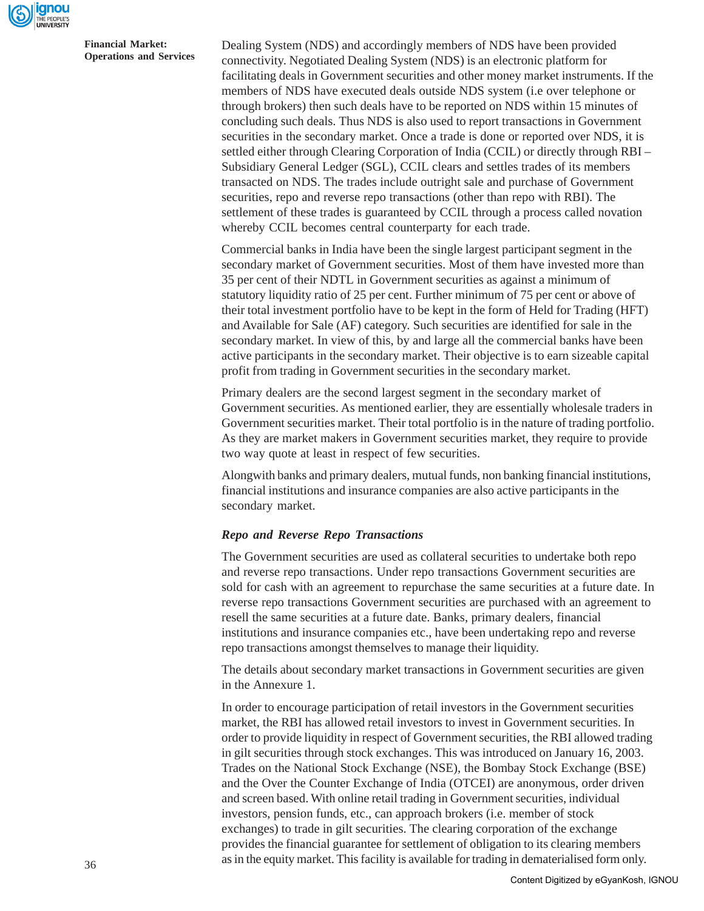

Dealing System (NDS) and accordingly members of NDS have been provided connectivity. Negotiated Dealing System (NDS) is an electronic platform for facilitating deals in Government securities and other money market instruments. If the members of NDS have executed deals outside NDS system (i.e over telephone or through brokers) then such deals have to be reported on NDS within 15 minutes of concluding such deals. Thus NDS is also used to report transactions in Government securities in the secondary market. Once a trade is done or reported over NDS, it is settled either through Clearing Corporation of India (CCIL) or directly through RBI – Subsidiary General Ledger (SGL), CCIL clears and settles trades of its members transacted on NDS. The trades include outright sale and purchase of Government securities, repo and reverse repo transactions (other than repo with RBI). The settlement of these trades is guaranteed by CCIL through a process called novation whereby CCIL becomes central counterparty for each trade.

Commercial banks in India have been the single largest participant segment in the secondary market of Government securities. Most of them have invested more than 35 per cent of their NDTL in Government securities as against a minimum of statutory liquidity ratio of 25 per cent. Further minimum of 75 per cent or above of their total investment portfolio have to be kept in the form of Held for Trading (HFT) and Available for Sale (AF) category. Such securities are identified for sale in the secondary market. In view of this, by and large all the commercial banks have been active participants in the secondary market. Their objective is to earn sizeable capital profit from trading in Government securities in the secondary market.

Primary dealers are the second largest segment in the secondary market of Government securities. As mentioned earlier, they are essentially wholesale traders in Government securities market. Their total portfolio is in the nature of trading portfolio. As they are market makers in Government securities market, they require to provide two way quote at least in respect of few securities.

Alongwith banks and primary dealers, mutual funds, non banking financial institutions, financial institutions and insurance companies are also active participants in the secondary market.

#### *Repo and Reverse Repo Transactions*

The Government securities are used as collateral securities to undertake both repo and reverse repo transactions. Under repo transactions Government securities are sold for cash with an agreement to repurchase the same securities at a future date. In reverse repo transactions Government securities are purchased with an agreement to resell the same securities at a future date. Banks, primary dealers, financial institutions and insurance companies etc., have been undertaking repo and reverse repo transactions amongst themselves to manage their liquidity.

The details about secondary market transactions in Government securities are given in the Annexure 1.

In order to encourage participation of retail investors in the Government securities market, the RBI has allowed retail investors to invest in Government securities. In order to provide liquidity in respect of Government securities, the RBI allowed trading in gilt securities through stock exchanges. This was introduced on January 16, 2003. Trades on the National Stock Exchange (NSE), the Bombay Stock Exchange (BSE) and the Over the Counter Exchange of India (OTCEI) are anonymous, order driven and screen based. With online retail trading in Government securities, individual investors, pension funds, etc., can approach brokers (i.e. member of stock exchanges) to trade in gilt securities. The clearing corporation of the exchange provides the financial guarantee for settlement of obligation to its clearing members as in the equity market. This facility is available for trading in dematerialised form only.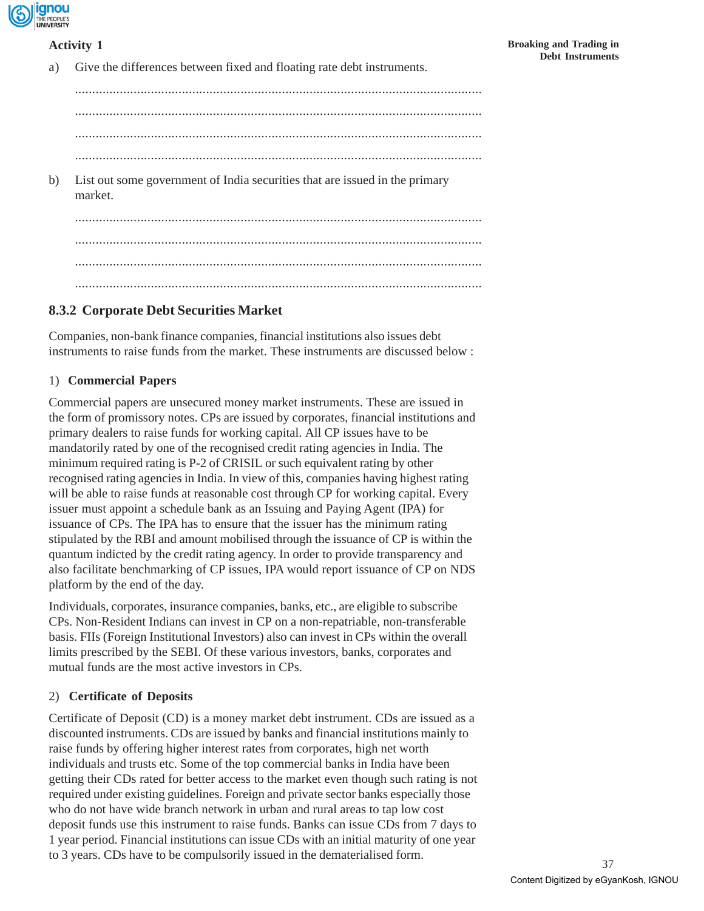

## **Activity 1**

a) Give the differences between fixed and floating rate debt instruments.

...................................................................................................................... ...................................................................................................................... ...................................................................................................................... ...................................................................................................................... b) List out some government of India securities that are issued in the primary market. ...................................................................................................................... ...................................................................................................................... ...................................................................................................................... ......................................................................................................................

# **8.3.2 Corporate Debt Securities Market**

Companies, non-bank finance companies, financial institutions also issues debt instruments to raise funds from the market. These instruments are discussed below :

## 1) **Commercial Papers**

Commercial papers are unsecured money market instruments. These are issued in the form of promissory notes. CPs are issued by corporates, financial institutions and primary dealers to raise funds for working capital. All CP issues have to be mandatorily rated by one of the recognised credit rating agencies in India. The minimum required rating is P-2 of CRISIL or such equivalent rating by other recognised rating agencies in India. In view of this, companies having highest rating will be able to raise funds at reasonable cost through CP for working capital. Every issuer must appoint a schedule bank as an Issuing and Paying Agent (IPA) for issuance of CPs. The IPA has to ensure that the issuer has the minimum rating stipulated by the RBI and amount mobilised through the issuance of CP is within the quantum indicted by the credit rating agency. In order to provide transparency and also facilitate benchmarking of CP issues, IPA would report issuance of CP on NDS platform by the end of the day.

Individuals, corporates, insurance companies, banks, etc., are eligible to subscribe CPs. Non-Resident Indians can invest in CP on a non-repatriable, non-transferable basis. FIIs (Foreign Institutional Investors) also can invest in CPs within the overall limits prescribed by the SEBI. Of these various investors, banks, corporates and mutual funds are the most active investors in CPs.

## 2) **Certificate of Deposits**

Certificate of Deposit (CD) is a money market debt instrument. CDs are issued as a discounted instruments. CDs are issued by banks and financial institutions mainly to raise funds by offering higher interest rates from corporates, high net worth individuals and trusts etc. Some of the top commercial banks in India have been getting their CDs rated for better access to the market even though such rating is not required under existing guidelines. Foreign and private sector banks especially those who do not have wide branch network in urban and rural areas to tap low cost deposit funds use this instrument to raise funds. Banks can issue CDs from 7 days to 1 year period. Financial institutions can issue CDs with an initial maturity of one year to 3 years. CDs have to be compulsorily issued in the dematerialised form.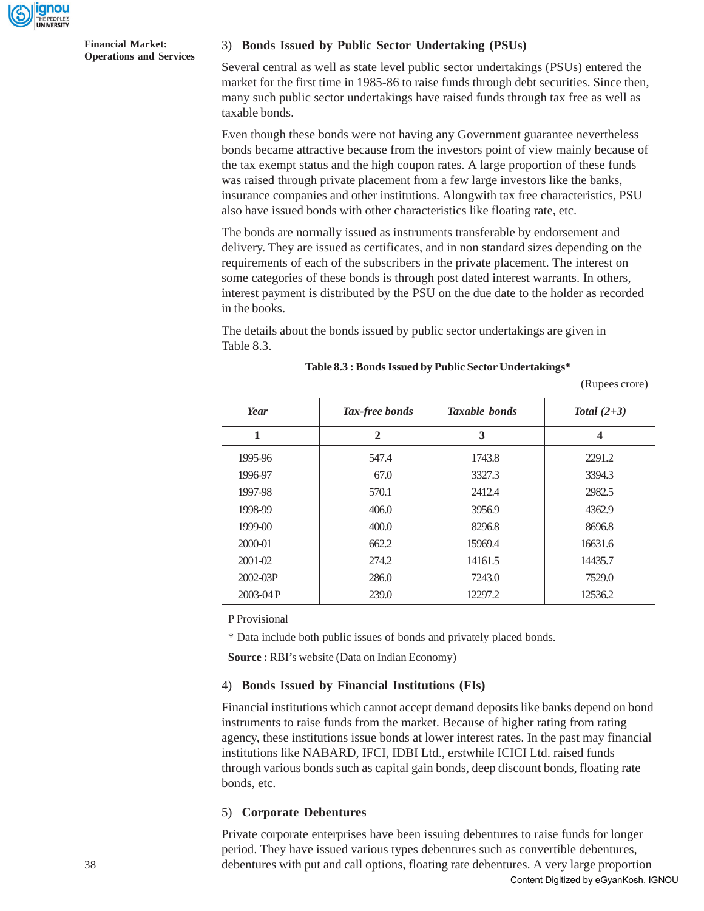

#### 3) **Bonds Issued by Public Sector Undertaking (PSUs)**

Several central as well as state level public sector undertakings (PSUs) entered the market for the first time in 1985-86 to raise funds through debt securities. Since then, many such public sector undertakings have raised funds through tax free as well as taxable bonds.

Even though these bonds were not having any Government guarantee nevertheless bonds became attractive because from the investors point of view mainly because of the tax exempt status and the high coupon rates. A large proportion of these funds was raised through private placement from a few large investors like the banks, insurance companies and other institutions. Alongwith tax free characteristics, PSU also have issued bonds with other characteristics like floating rate, etc.

The bonds are normally issued as instruments transferable by endorsement and delivery. They are issued as certificates, and in non standard sizes depending on the requirements of each of the subscribers in the private placement. The interest on some categories of these bonds is through post dated interest warrants. In others, interest payment is distributed by the PSU on the due date to the holder as recorded in the books.

The details about the bonds issued by public sector undertakings are given in Table 8.3.

| Tax-free bonds<br>Year |                | <b>Taxable bonds</b> | Total $(2+3)$           |  |  |
|------------------------|----------------|----------------------|-------------------------|--|--|
| 1                      | $\overline{2}$ | 3                    | $\overline{\mathbf{4}}$ |  |  |
| 1995-96                | 547.4          | 1743.8               | 2291.2                  |  |  |
| 1996-97                | 67.0           | 3327.3               | 3394.3                  |  |  |
| 1997-98                | 570.1          | 2412.4               | 2982.5                  |  |  |
| 1998-99                | 406.0          | 3956.9               | 4362.9                  |  |  |
| $1999-00$              | 400.0          | 8296.8               | 8696.8                  |  |  |
| 2000-01                | 662.2          | 15969.4              | 16631.6                 |  |  |
| $2001 - 02$            | 274.2          | 14161.5              | 14435.7                 |  |  |
| $2002 - 03P$           | 286.0          | 7243.0               | 7529.0                  |  |  |
| $2003-04P$             | 239.0          | 12297.2              | 12536.2                 |  |  |

#### **Table 8.3 : Bonds Issued by Public Sector Undertakings\***

(Rupees crore)

P Provisional

\* Data include both public issues of bonds and privately placed bonds.

**Source :** RBI's website (Data on Indian Economy)

#### 4) **Bonds Issued by Financial Institutions (FIs)**

Financial institutions which cannot accept demand deposits like banks depend on bond instruments to raise funds from the market. Because of higher rating from rating agency, these institutions issue bonds at lower interest rates. In the past may financial institutions like NABARD, IFCI, IDBI Ltd., erstwhile ICICI Ltd. raised funds through various bonds such as capital gain bonds, deep discount bonds, floating rate bonds, etc.

#### 5) **Corporate Debentures**

Private corporate enterprises have been issuing debentures to raise funds for longer period. They have issued various types debentures such as convertible debentures, debentures with put and call options, floating rate debentures. A very large proportion Content Digitized by eGyanKosh, IGNOU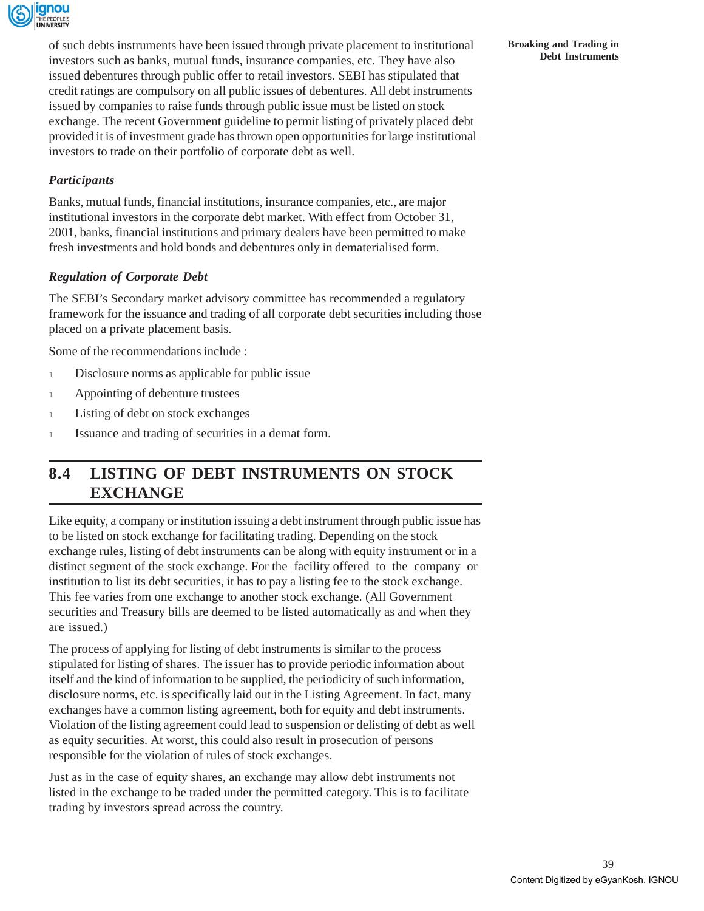

of such debts instruments have been issued through private placement to institutional investors such as banks, mutual funds, insurance companies, etc. They have also issued debentures through public offer to retail investors. SEBI has stipulated that credit ratings are compulsory on all public issues of debentures. All debt instruments issued by companies to raise funds through public issue must be listed on stock exchange. The recent Government guideline to permit listing of privately placed debt provided it is of investment grade has thrown open opportunities for large institutional investors to trade on their portfolio of corporate debt as well.

## *Participants*

Banks, mutual funds, financial institutions, insurance companies, etc., are major institutional investors in the corporate debt market. With effect from October 31, 2001, banks, financial institutions and primary dealers have been permitted to make fresh investments and hold bonds and debentures only in dematerialised form.

### *Regulation of Corporate Debt*

The SEBI's Secondary market advisory committee has recommended a regulatory framework for the issuance and trading of all corporate debt securities including those placed on a private placement basis.

Some of the recommendations include :

- 1 Disclosure norms as applicable for public issue
- 1 Appointing of debenture trustees
- 1 Listing of debt on stock exchanges
- <sup>l</sup> Issuance and trading of securities in a demat form.

# **8.4 LISTING OF DEBT INSTRUMENTS ON STOCK EXCHANGE**

Like equity, a company or institution issuing a debt instrument through public issue has to be listed on stock exchange for facilitating trading. Depending on the stock exchange rules, listing of debt instruments can be along with equity instrument or in a distinct segment of the stock exchange. For the facility offered to the company or institution to list its debt securities, it has to pay a listing fee to the stock exchange. This fee varies from one exchange to another stock exchange. (All Government securities and Treasury bills are deemed to be listed automatically as and when they are issued.)

The process of applying for listing of debt instruments is similar to the process stipulated for listing of shares. The issuer has to provide periodic information about itself and the kind of information to be supplied, the periodicity of such information, disclosure norms, etc. is specifically laid out in the Listing Agreement. In fact, many exchanges have a common listing agreement, both for equity and debt instruments. Violation of the listing agreement could lead to suspension or delisting of debt as well as equity securities. At worst, this could also result in prosecution of persons responsible for the violation of rules of stock exchanges.

Just as in the case of equity shares, an exchange may allow debt instruments not listed in the exchange to be traded under the permitted category. This is to facilitate trading by investors spread across the country.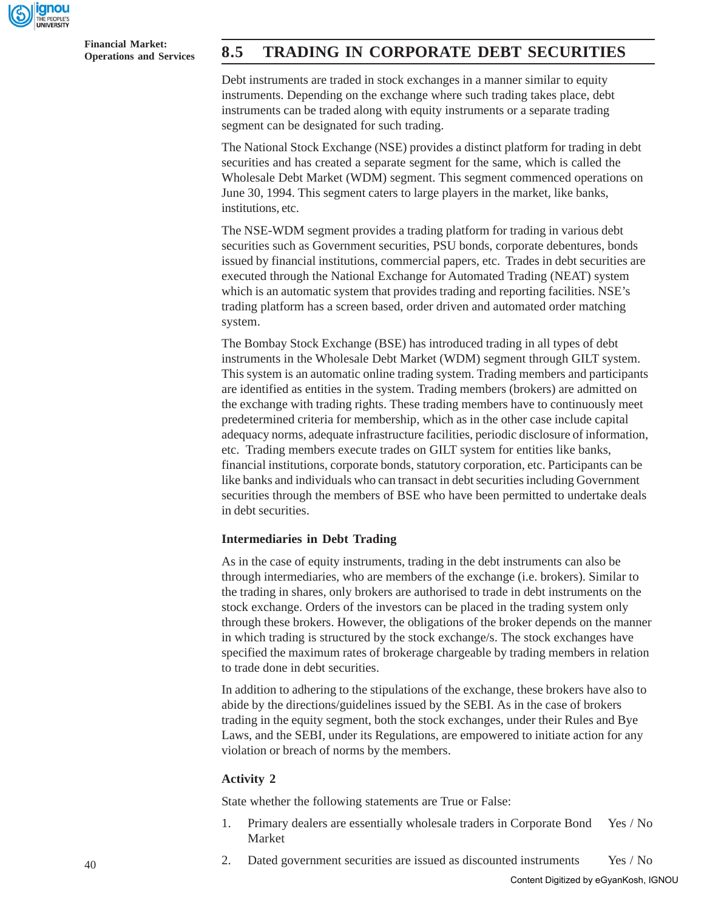

**Financial Market:**

# **Operations and Services 8.5 TRADING IN CORPORATE DEBT SECURITIES**

Debt instruments are traded in stock exchanges in a manner similar to equity instruments. Depending on the exchange where such trading takes place, debt instruments can be traded along with equity instruments or a separate trading segment can be designated for such trading.

The National Stock Exchange (NSE) provides a distinct platform for trading in debt securities and has created a separate segment for the same, which is called the Wholesale Debt Market (WDM) segment. This segment commenced operations on June 30, 1994. This segment caters to large players in the market, like banks, institutions, etc.

The NSE-WDM segment provides a trading platform for trading in various debt securities such as Government securities, PSU bonds, corporate debentures, bonds issued by financial institutions, commercial papers, etc. Trades in debt securities are executed through the National Exchange for Automated Trading (NEAT) system which is an automatic system that provides trading and reporting facilities. NSE's trading platform has a screen based, order driven and automated order matching system.

The Bombay Stock Exchange (BSE) has introduced trading in all types of debt instruments in the Wholesale Debt Market (WDM) segment through GILT system. This system is an automatic online trading system. Trading members and participants are identified as entities in the system. Trading members (brokers) are admitted on the exchange with trading rights. These trading members have to continuously meet predetermined criteria for membership, which as in the other case include capital adequacy norms, adequate infrastructure facilities, periodic disclosure of information, etc. Trading members execute trades on GILT system for entities like banks, financial institutions, corporate bonds, statutory corporation, etc. Participants can be like banks and individuals who can transact in debt securities including Government securities through the members of BSE who have been permitted to undertake deals in debt securities.

#### **Intermediaries in Debt Trading**

As in the case of equity instruments, trading in the debt instruments can also be through intermediaries, who are members of the exchange (i.e. brokers). Similar to the trading in shares, only brokers are authorised to trade in debt instruments on the stock exchange. Orders of the investors can be placed in the trading system only through these brokers. However, the obligations of the broker depends on the manner in which trading is structured by the stock exchange/s. The stock exchanges have specified the maximum rates of brokerage chargeable by trading members in relation to trade done in debt securities.

In addition to adhering to the stipulations of the exchange, these brokers have also to abide by the directions/guidelines issued by the SEBI. As in the case of brokers trading in the equity segment, both the stock exchanges, under their Rules and Bye Laws, and the SEBI, under its Regulations, are empowered to initiate action for any violation or breach of norms by the members.

### **Activity 2**

State whether the following statements are True or False:

- 1. Primary dealers are essentially wholesale traders in Corporate Bond Yes / No Market
- 2. Dated government securities are issued as discounted instruments Yes / No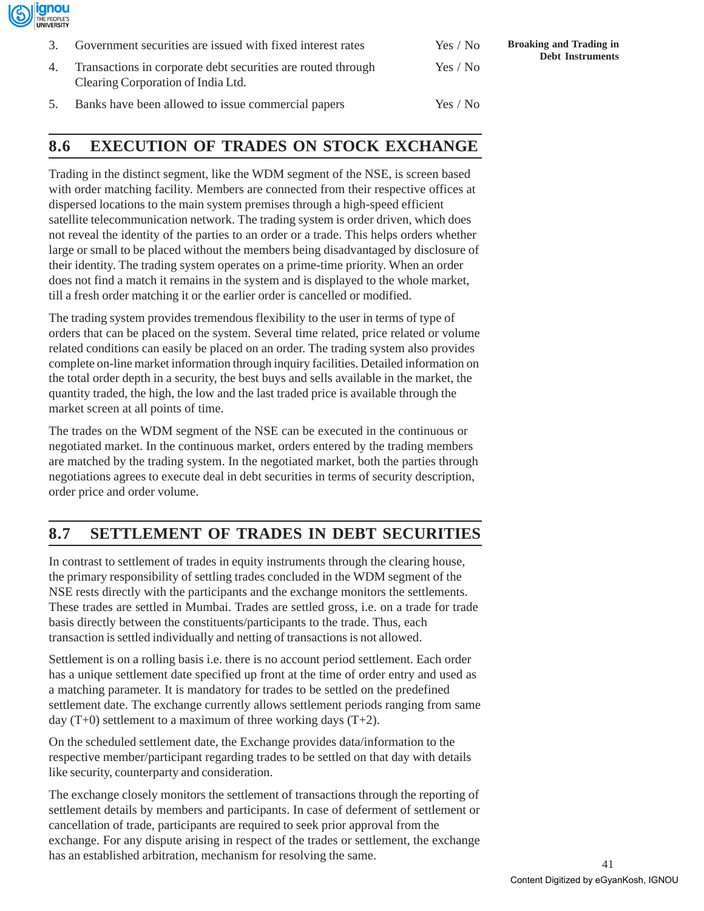

| 3. | Government securities are issued with fixed interest rates                                            | Yes / No |
|----|-------------------------------------------------------------------------------------------------------|----------|
|    | 4. Transactions in corporate debt securities are routed through<br>Clearing Corporation of India Ltd. | Yes / No |
| 5. | Banks have been allowed to issue commercial papers                                                    | Yes / No |

# **8.6 EXECUTION OF TRADES ON STOCK EXCHANGE**

Trading in the distinct segment, like the WDM segment of the NSE, is screen based with order matching facility. Members are connected from their respective offices at dispersed locations to the main system premises through a high-speed efficient satellite telecommunication network. The trading system is order driven, which does not reveal the identity of the parties to an order or a trade. This helps orders whether large or small to be placed without the members being disadvantaged by disclosure of their identity. The trading system operates on a prime-time priority. When an order does not find a match it remains in the system and is displayed to the whole market, till a fresh order matching it or the earlier order is cancelled or modified.

The trading system provides tremendous flexibility to the user in terms of type of orders that can be placed on the system. Several time related, price related or volume related conditions can easily be placed on an order. The trading system also provides complete on-line market information through inquiry facilities. Detailed information on the total order depth in a security, the best buys and sells available in the market, the quantity traded, the high, the low and the last traded price is available through the market screen at all points of time.

The trades on the WDM segment of the NSE can be executed in the continuous or negotiated market. In the continuous market, orders entered by the trading members are matched by the trading system. In the negotiated market, both the parties through negotiations agrees to execute deal in debt securities in terms of security description, order price and order volume.

# **8.7 SETTLEMENT OF TRADES IN DEBT SECURITIES**

In contrast to settlement of trades in equity instruments through the clearing house, the primary responsibility of settling trades concluded in the WDM segment of the NSE rests directly with the participants and the exchange monitors the settlements. These trades are settled in Mumbai. Trades are settled gross, i.e. on a trade for trade basis directly between the constituents/participants to the trade. Thus, each transaction is settled individually and netting of transactions is not allowed.

Settlement is on a rolling basis i.e. there is no account period settlement. Each order has a unique settlement date specified up front at the time of order entry and used as a matching parameter. It is mandatory for trades to be settled on the predefined settlement date. The exchange currently allows settlement periods ranging from same day  $(T+0)$  settlement to a maximum of three working days  $(T+2)$ .

On the scheduled settlement date, the Exchange provides data/information to the respective member/participant regarding trades to be settled on that day with details like security, counterparty and consideration.

The exchange closely monitors the settlement of transactions through the reporting of settlement details by members and participants. In case of deferment of settlement or cancellation of trade, participants are required to seek prior approval from the exchange. For any dispute arising in respect of the trades or settlement, the exchange has an established arbitration, mechanism for resolving the same.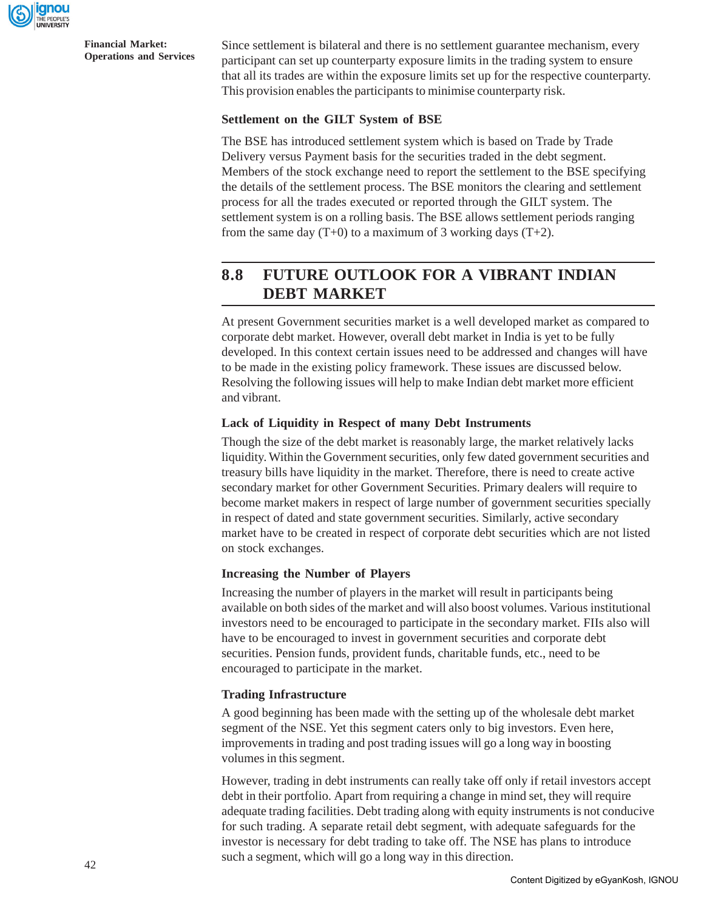

Since settlement is bilateral and there is no settlement guarantee mechanism, every participant can set up counterparty exposure limits in the trading system to ensure that all its trades are within the exposure limits set up for the respective counterparty. This provision enables the participants to minimise counterparty risk.

### **Settlement on the GILT System of BSE**

The BSE has introduced settlement system which is based on Trade by Trade Delivery versus Payment basis for the securities traded in the debt segment. Members of the stock exchange need to report the settlement to the BSE specifying the details of the settlement process. The BSE monitors the clearing and settlement process for all the trades executed or reported through the GILT system. The settlement system is on a rolling basis. The BSE allows settlement periods ranging from the same day  $(T+0)$  to a maximum of 3 working days  $(T+2)$ .

# **8.8 FUTURE OUTLOOK FOR A VIBRANT INDIAN DEBT MARKET**

At present Government securities market is a well developed market as compared to corporate debt market. However, overall debt market in India is yet to be fully developed. In this context certain issues need to be addressed and changes will have to be made in the existing policy framework. These issues are discussed below. Resolving the following issues will help to make Indian debt market more efficient and vibrant.

### **Lack of Liquidity in Respect of many Debt Instruments**

Though the size of the debt market is reasonably large, the market relatively lacks liquidity. Within the Government securities, only few dated government securities and treasury bills have liquidity in the market. Therefore, there is need to create active secondary market for other Government Securities. Primary dealers will require to become market makers in respect of large number of government securities specially in respect of dated and state government securities. Similarly, active secondary market have to be created in respect of corporate debt securities which are not listed on stock exchanges.

### **Increasing the Number of Players**

Increasing the number of players in the market will result in participants being available on both sides of the market and will also boost volumes. Various institutional investors need to be encouraged to participate in the secondary market. FIIs also will have to be encouraged to invest in government securities and corporate debt securities. Pension funds, provident funds, charitable funds, etc., need to be encouraged to participate in the market.

### **Trading Infrastructure**

A good beginning has been made with the setting up of the wholesale debt market segment of the NSE. Yet this segment caters only to big investors. Even here, improvements in trading and post trading issues will go a long way in boosting volumes in this segment.

However, trading in debt instruments can really take off only if retail investors accept debt in their portfolio. Apart from requiring a change in mind set, they will require adequate trading facilities. Debt trading along with equity instruments is not conducive for such trading. A separate retail debt segment, with adequate safeguards for the investor is necessary for debt trading to take off. The NSE has plans to introduce such a segment, which will go a long way in this direction.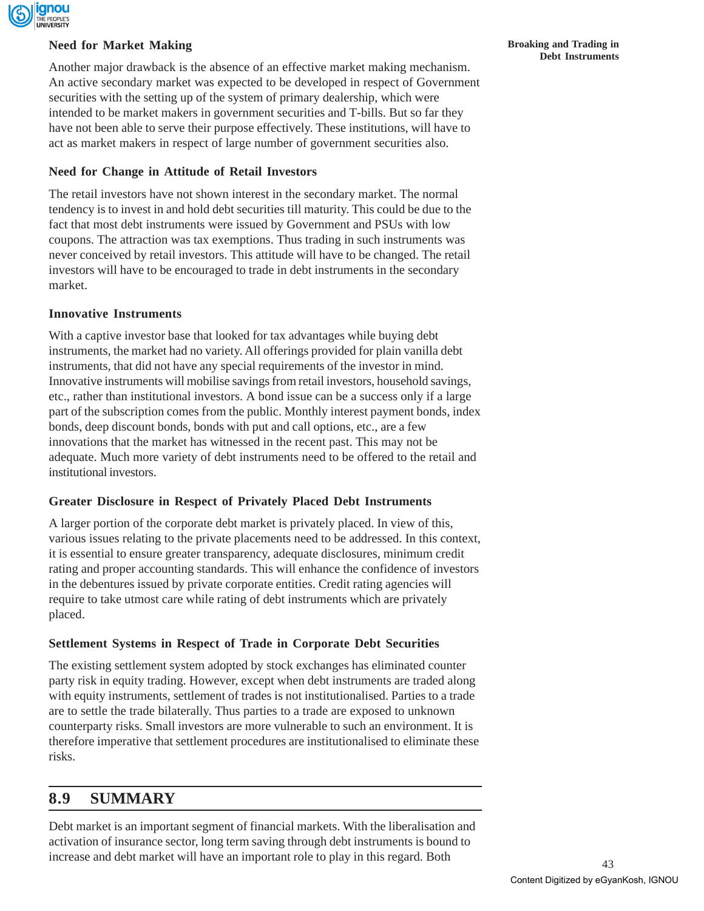

### **Need for Market Making**

Another major drawback is the absence of an effective market making mechanism. An active secondary market was expected to be developed in respect of Government securities with the setting up of the system of primary dealership, which were intended to be market makers in government securities and T-bills. But so far they have not been able to serve their purpose effectively. These institutions, will have to act as market makers in respect of large number of government securities also.

### **Need for Change in Attitude of Retail Investors**

The retail investors have not shown interest in the secondary market. The normal tendency is to invest in and hold debt securities till maturity. This could be due to the fact that most debt instruments were issued by Government and PSUs with low coupons. The attraction was tax exemptions. Thus trading in such instruments was never conceived by retail investors. This attitude will have to be changed. The retail investors will have to be encouraged to trade in debt instruments in the secondary market.

### **Innovative Instruments**

With a captive investor base that looked for tax advantages while buying debt instruments, the market had no variety. All offerings provided for plain vanilla debt instruments, that did not have any special requirements of the investor in mind. Innovative instruments will mobilise savings from retail investors, household savings, etc., rather than institutional investors. A bond issue can be a success only if a large part of the subscription comes from the public. Monthly interest payment bonds, index bonds, deep discount bonds, bonds with put and call options, etc., are a few innovations that the market has witnessed in the recent past. This may not be adequate. Much more variety of debt instruments need to be offered to the retail and institutional investors.

### **Greater Disclosure in Respect of Privately Placed Debt Instruments**

A larger portion of the corporate debt market is privately placed. In view of this, various issues relating to the private placements need to be addressed. In this context, it is essential to ensure greater transparency, adequate disclosures, minimum credit rating and proper accounting standards. This will enhance the confidence of investors in the debentures issued by private corporate entities. Credit rating agencies will require to take utmost care while rating of debt instruments which are privately placed.

## **Settlement Systems in Respect of Trade in Corporate Debt Securities**

The existing settlement system adopted by stock exchanges has eliminated counter party risk in equity trading. However, except when debt instruments are traded along with equity instruments, settlement of trades is not institutionalised. Parties to a trade are to settle the trade bilaterally. Thus parties to a trade are exposed to unknown counterparty risks. Small investors are more vulnerable to such an environment. It is therefore imperative that settlement procedures are institutionalised to eliminate these risks.

# **8.9 SUMMARY**

Debt market is an important segment of financial markets. With the liberalisation and activation of insurance sector, long term saving through debt instruments is bound to increase and debt market will have an important role to play in this regard. Both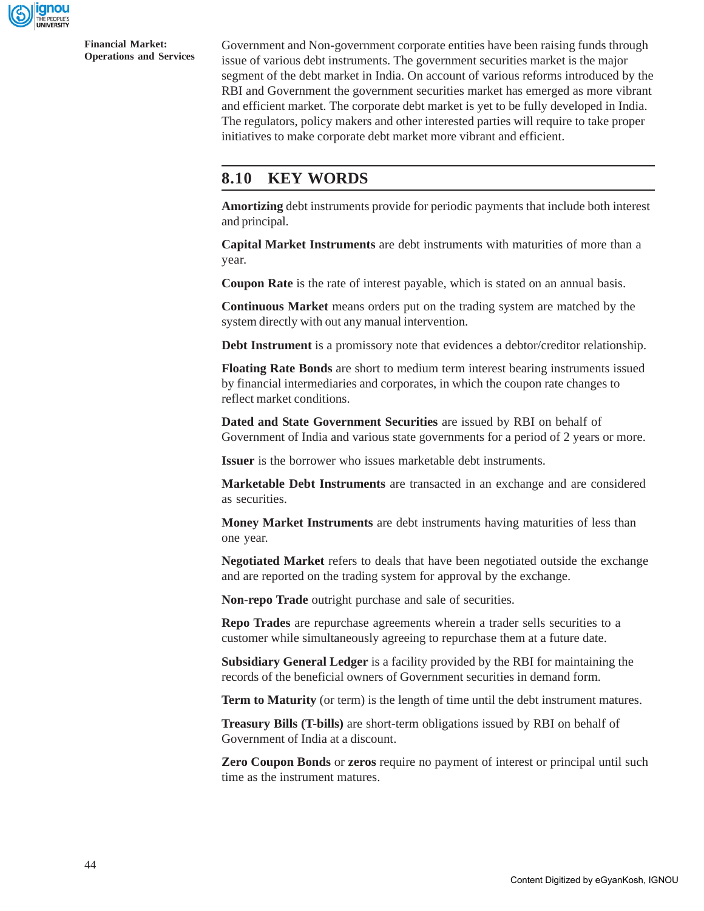

Government and Non-government corporate entities have been raising funds through issue of various debt instruments. The government securities market is the major segment of the debt market in India. On account of various reforms introduced by the RBI and Government the government securities market has emerged as more vibrant and efficient market. The corporate debt market is yet to be fully developed in India. The regulators, policy makers and other interested parties will require to take proper initiatives to make corporate debt market more vibrant and efficient.

# **8.10 KEY WORDS**

**Amortizing** debt instruments provide for periodic payments that include both interest and principal.

**Capital Market Instruments** are debt instruments with maturities of more than a year.

**Coupon Rate** is the rate of interest payable, which is stated on an annual basis.

**Continuous Market** means orders put on the trading system are matched by the system directly with out any manual intervention.

**Debt Instrument** is a promissory note that evidences a debtor/creditor relationship.

**Floating Rate Bonds** are short to medium term interest bearing instruments issued by financial intermediaries and corporates, in which the coupon rate changes to reflect market conditions.

**Dated and State Government Securities** are issued by RBI on behalf of Government of India and various state governments for a period of 2 years or more.

**Issuer** is the borrower who issues marketable debt instruments.

**Marketable Debt Instruments** are transacted in an exchange and are considered as securities.

**Money Market Instruments** are debt instruments having maturities of less than one year.

**Negotiated Market** refers to deals that have been negotiated outside the exchange and are reported on the trading system for approval by the exchange.

**Non-repo Trade** outright purchase and sale of securities.

**Repo Trades** are repurchase agreements wherein a trader sells securities to a customer while simultaneously agreeing to repurchase them at a future date.

**Subsidiary General Ledger** is a facility provided by the RBI for maintaining the records of the beneficial owners of Government securities in demand form.

**Term to Maturity** (or term) is the length of time until the debt instrument matures.

**Treasury Bills (T-bills)** are short-term obligations issued by RBI on behalf of Government of India at a discount.

**Zero Coupon Bonds** or **zeros** require no payment of interest or principal until such time as the instrument matures.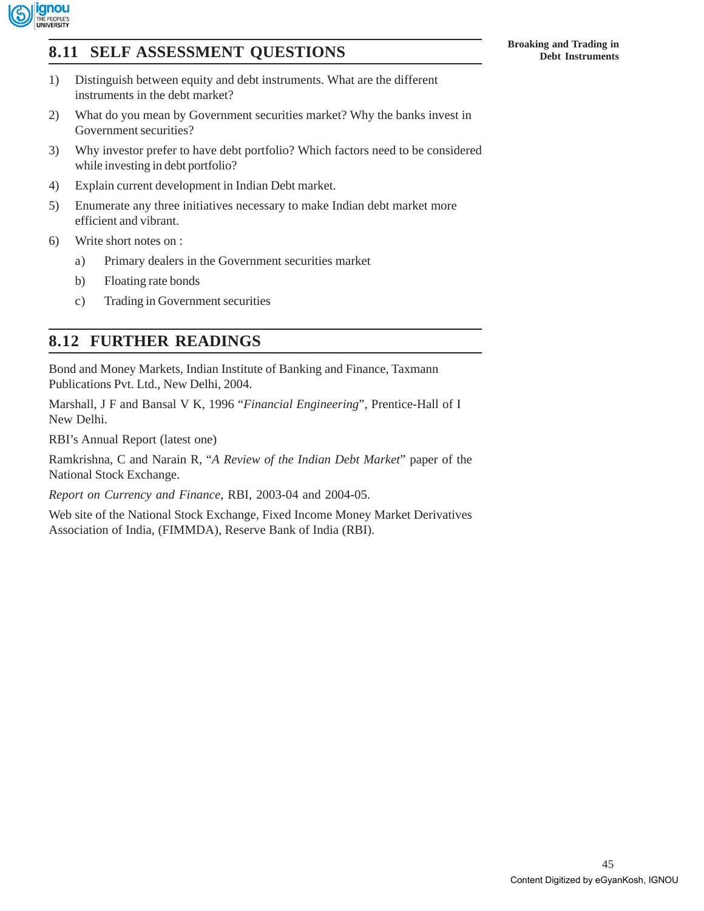

# **Broaking and Trading in**<br> **Broaking and Trading in**<br> **Broaking and Trading in**<br> **Broaking and Trading in**<br> **Broaking and Trading in**

- 1) Distinguish between equity and debt instruments. What are the different instruments in the debt market?
- 2) What do you mean by Government securities market? Why the banks invest in Government securities?
- 3) Why investor prefer to have debt portfolio? Which factors need to be considered while investing in debt portfolio?
- 4) Explain current development in Indian Debt market.
- 5) Enumerate any three initiatives necessary to make Indian debt market more efficient and vibrant.
- 6) Write short notes on :
	- a) Primary dealers in the Government securities market
	- b) Floating rate bonds
	- c) Trading in Government securities

# **8.12 FURTHER READINGS**

Bond and Money Markets, Indian Institute of Banking and Finance, Taxmann Publications Pvt. Ltd., New Delhi, 2004.

Marshall, J F and Bansal V K, 1996 "*Financial Engineering*", Prentice-Hall of I New Delhi.

RBI's Annual Report (latest one)

Ramkrishna, C and Narain R, "*A Review of the Indian Debt Market*" paper of the National Stock Exchange.

*Report on Currency and Finance*, RBI, 2003-04 and 2004-05.

Web site of the National Stock Exchange, Fixed Income Money Market Derivatives Association of India, (FIMMDA), Reserve Bank of India (RBI).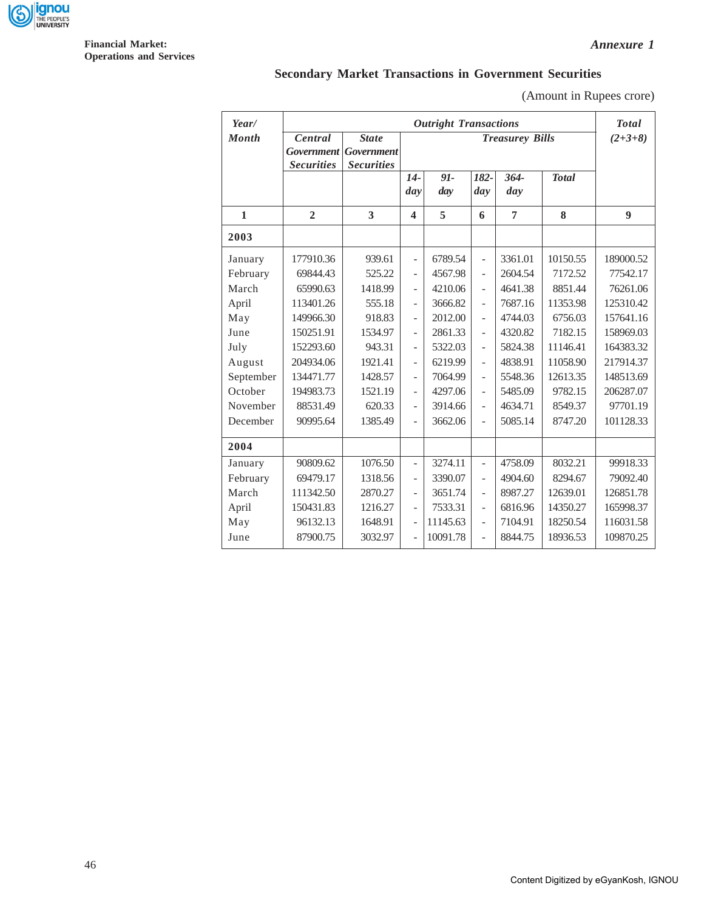

# **Secondary Market Transactions in Government Securities**

(Amount in Rupees crore)

| Year/        | <b>Outright Transactions</b>                      |                                                        |                          |                        |                          |                |              | <b>Total</b> |
|--------------|---------------------------------------------------|--------------------------------------------------------|--------------------------|------------------------|--------------------------|----------------|--------------|--------------|
| <b>Month</b> | Central<br><b>Government</b><br><b>Securities</b> | <b>State</b><br><b>Government</b><br><b>Securities</b> |                          | <b>Treasurey Bills</b> |                          |                |              |              |
|              |                                                   |                                                        | $14-$<br>day             | 91-<br>day             | 182-<br>day              | $364 -$<br>day | <b>Total</b> |              |
| $\mathbf{1}$ | $\overline{2}$                                    | 3                                                      | 4                        | 5                      | 6                        | $\overline{7}$ | 8            | 9            |
| 2003         |                                                   |                                                        |                          |                        |                          |                |              |              |
| January      | 177910.36                                         | 939.61                                                 | $\overline{\phantom{0}}$ | 6789.54                | $\overline{\phantom{0}}$ | 3361.01        | 10150.55     | 189000.52    |
| February     | 69844.43                                          | 525.22                                                 | $\overline{a}$           | 4567.98                | $\overline{a}$           | 2604.54        | 7172.52      | 77542.17     |
| March        | 65990.63                                          | 1418.99                                                | $\overline{a}$           | 4210.06                | $\overline{a}$           | 4641.38        | 8851.44      | 76261.06     |
| April        | 113401.26                                         | 555.18                                                 | $\overline{a}$           | 3666.82                | $\frac{1}{2}$            | 7687.16        | 11353.98     | 125310.42    |
| May          | 149966.30                                         | 918.83                                                 | $\overline{\phantom{0}}$ | 2012.00                | $\frac{1}{2}$            | 4744.03        | 6756.03      | 157641.16    |
| June         | 150251.91                                         | 1534.97                                                | $\overline{\phantom{0}}$ | 2861.33                | $\overline{a}$           | 4320.82        | 7182.15      | 158969.03    |
| July         | 152293.60                                         | 943.31                                                 | $\overline{a}$           | 5322.03                | $\overline{a}$           | 5824.38        | 11146.41     | 164383.32    |
| August       | 204934.06                                         | 1921.41                                                | $\overline{\phantom{0}}$ | 6219.99                | $\overline{a}$           | 4838.91        | 11058.90     | 217914.37    |
| September    | 134471.77                                         | 1428.57                                                | $\overline{\phantom{a}}$ | 7064.99                | $\overline{\phantom{0}}$ | 5548.36        | 12613.35     | 148513.69    |
| October      | 194983.73                                         | 1521.19                                                | $\overline{\phantom{0}}$ | 4297.06                | $\overline{a}$           | 5485.09        | 9782.15      | 206287.07    |
| November     | 88531.49                                          | 620.33                                                 | $\overline{a}$           | 3914.66                | $\overline{a}$           | 4634.71        | 8549.37      | 97701.19     |
| December     | 90995.64                                          | 1385.49                                                | $\overline{a}$           | 3662.06                | $\frac{1}{2}$            | 5085.14        | 8747.20      | 101128.33    |
| 2004         |                                                   |                                                        |                          |                        |                          |                |              |              |
| January      | 90809.62                                          | 1076.50                                                | $\overline{\phantom{0}}$ | 3274.11                | $\overline{\phantom{0}}$ | 4758.09        | 8032.21      | 99918.33     |
| February     | 69479.17                                          | 1318.56                                                | $\frac{1}{2}$            | 3390.07                | $\overline{a}$           | 4904.60        | 8294.67      | 79092.40     |
| March        | 111342.50                                         | 2870.27                                                | $\overline{\phantom{a}}$ | 3651.74                | $\overline{a}$           | 8987.27        | 12639.01     | 126851.78    |
| April        | 150431.83                                         | 1216.27                                                | $\overline{\phantom{a}}$ | 7533.31                | $\frac{1}{2}$            | 6816.96        | 14350.27     | 165998.37    |
| May          | 96132.13                                          | 1648.91                                                | $\overline{a}$           | 11145.63               | $\overline{a}$           | 7104.91        | 18250.54     | 116031.58    |
| June         | 87900.75                                          | 3032.97                                                | $\overline{a}$           | 10091.78               | $\overline{a}$           | 8844.75        | 18936.53     | 109870.25    |